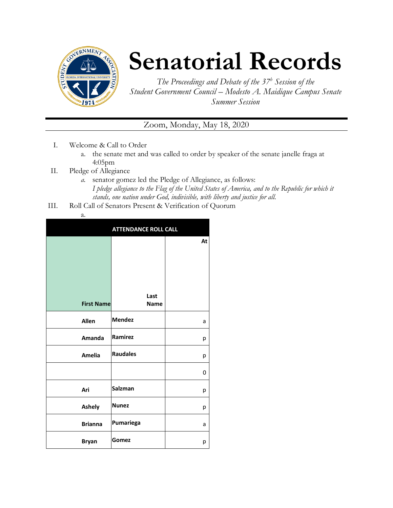

## **Senatorial Records**

*The Proceedings and Debate of the 37<sup>h</sup> Session of the Student Government Council – Modesto A. Maidique Campus Senate Summer Session*

Zoom, Monday, May 18, 2020

- I. Welcome & Call to Order
	- a. the senate met and was called to order by speaker of the senate janelle fraga at 4:05pm
- II. Pledge of Allegiance
	- *a.* senator gomez led the Pledge of Allegiance, as follows: *I pledge allegiance to the Flag of the United States of America, and to the Republic for which it stands, one nation under God, indivisible, with liberty and justice for all.*
- III. Roll Call of Senators Present & Verification of Quorum
	- a.

|                   | <b>ATTENDANCE ROLL CALL</b> |    |
|-------------------|-----------------------------|----|
|                   |                             | At |
|                   |                             |    |
|                   |                             |    |
|                   |                             |    |
| <b>First Name</b> | Last<br><b>Name</b>         |    |
| <b>Allen</b>      | <b>Mendez</b>               | a  |
| Amanda            | Ramirez                     | р  |
| <b>Amelia</b>     | <b>Raudales</b>             | р  |
|                   |                             | 0  |
| Ari               | Salzman                     | р  |
| <b>Ashely</b>     | <b>Nunez</b>                | р  |
| <b>Brianna</b>    | Pumariega                   | a  |
| <b>Bryan</b>      | Gomez                       | р  |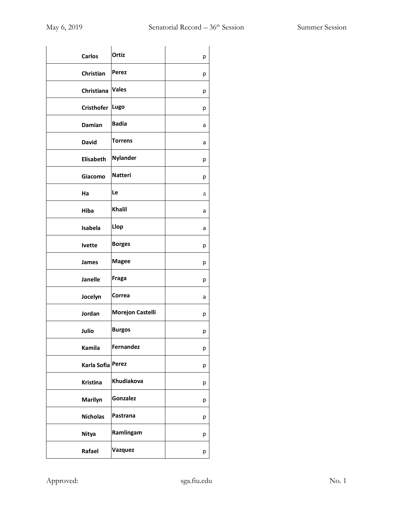| <b>Carlos</b>     | Ortiz            | р |
|-------------------|------------------|---|
| Christian         | Perez            | р |
| Christiana        | <b>Vales</b>     | р |
| <b>Cristhofer</b> | Lugo             | р |
| Damian            | <b>Badia</b>     | а |
| <b>David</b>      | Torrens          | a |
| Elisabeth         | <b>Nylander</b>  | р |
| Giacomo           | <b>Natteri</b>   | р |
| Ha                | Le               | а |
| Hiba              | Khalil           | a |
| Isabela           | Llop             | a |
| <b>Ivette</b>     | <b>Borges</b>    | р |
| <b>James</b>      | <b>Magee</b>     | р |
| Janelle           | Fraga            | р |
| Jocelyn           | Correa           | a |
| Jordan            | Morejon Castelli | р |
| Julio             | <b>Burgos</b>    | р |
| Kamila            | Fernandez        | р |
| Karla Sofia Perez |                  | р |
| <b>Kristina</b>   | Khudiakova       | р |
| Marilyn           | Gonzalez         | р |
| <b>Nicholas</b>   | Pastrana         | р |
| <b>Nitya</b>      | Ramlingam        | р |
| Rafael            | Vazquez          | р |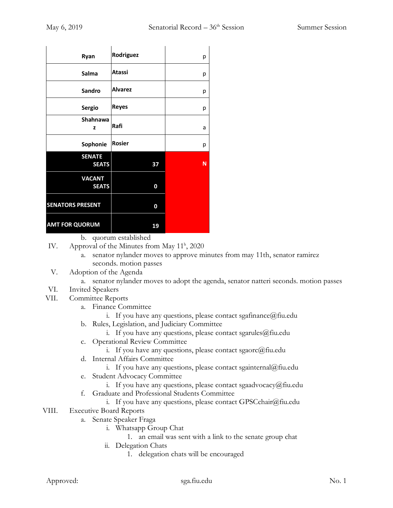| Ryan                    | Rodriguez      | р |
|-------------------------|----------------|---|
| Salma                   | Atassi         | р |
| Sandro                  | <b>Alvarez</b> | р |
| <b>Sergio</b>           | <b>Reyes</b>   | р |
| Shahnawa<br>z           | Rafi           | a |
| Sophonie                | <b>Rosier</b>  | р |
| <b>SENATE</b>           |                |   |
| <b>SEATS</b>            | 37             | N |
| <b>VACANT</b>           |                |   |
| <b>SEATS</b>            | 0              |   |
| <b>SENATORS PRESENT</b> | 0              |   |
| <b>AMT FOR QUORUM</b>   | 19             |   |

- b. quorum established
- IV. Approval of the Minutes from May 11<sup>h</sup>, 2020
	- a. senator nylander moves to approve minutes from may 11th, senator ramirez seconds. motion passes
- V. Adoption of the Agenda
	- a. senator nylander moves to adopt the agenda, senator natteri seconds. motion passes
- VI. Invited Speakers
- VII. Committee Reports
	- a. Finance Committee
		- i. If you have any questions, please contact sgafinance  $@$  fiu.edu
	- b. Rules, Legislation, and Judiciary Committee
		- i. If you have any questions, please contact sgarules  $@$  fiu.edu
	- c. Operational Review Committee
		- i. If you have any questions, please contact sgaorc@fiu.edu
	- d. Internal Affairs Committee
		- i. If you have any questions, please contact sgainternal@fiu.edu
	- e. Student Advocacy Committee
		- i. If you have any questions, please contact sgaadvocacy@fiu.edu
	- f. Graduate and Professional Students Committee
		- i. If you have any questions, please contact GPSCchair@fiu.edu
- VIII. Executive Board Reports
	- a. Senate Speaker Fraga
		- i. Whatsapp Group Chat
			- 1. an email was sent with a link to the senate group chat
		- ii. Delegation Chats
			- 1. delegation chats will be encouraged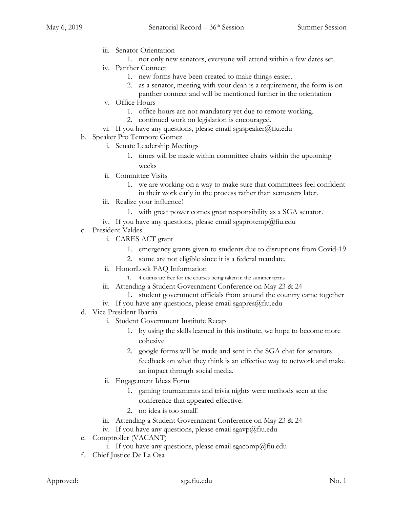- iii. Senator Orientation
	- 1. not only new senators, everyone will attend within a few dates set.
- iv. Panther Connect
	- 1. new forms have been created to make things easier.
	- 2. as a senator, meeting with your dean is a requirement, the form is on
- panther connect and will be mentioned further in the orientation v. Office Hours
	- 1. office hours are not mandatory yet due to remote working.
	- 2. continued work on legislation is encouraged.
- vi. If you have any questions, please email sgaspeaker@fiu.edu
- b. Speaker Pro Tempore Gomez
	- i. Senate Leadership Meetings
		- 1. times will be made within committee chairs within the upcoming weeks
	- ii. Committee Visits
		- 1. we are working on a way to make sure that committees feel confident in their work early in the process rather than semesters later.
	- iii. Realize your influence!
		- 1. with great power comes great responsibility as a SGA senator.
	- iv. If you have any questions, please email sgaprotemp@fiu.edu
- c. President Valdes
	- i. CARES ACT grant
		- 1. emergency grants given to students due to disruptions from Covid-19
		- 2. some are not eligible since it is a federal mandate.
	- ii. HonorLock FAQ Information
		- 1. 4 exams are free for the courses being taken in the summer terms
	- iii. Attending a Student Government Conference on May 23 & 24
		- 1. student government officials from around the country came together
	- iv. If you have any questions, please email sgapres $@$ fiu.edu
- d. Vice President Ibarria
	- i. Student Government Institute Recap
		- 1. by using the skills learned in this institute, we hope to become more cohesive
		- 2. google forms will be made and sent in the SGA chat for senators feedback on what they think is an effective way to network and make an impact through social media.
	- ii. Engagement Ideas Form
		- 1. gaming tournaments and trivia nights were methods seen at the conference that appeared effective.
		- 2. no idea is too small!
	- iii. Attending a Student Government Conference on May 23 & 24
	- iv. If you have any questions, please email sgavp@fiu.edu
- e. Comptroller (VACANT)
	- i. If you have any questions, please email sgacomp@fiu.edu
- f. Chief Justice De La Osa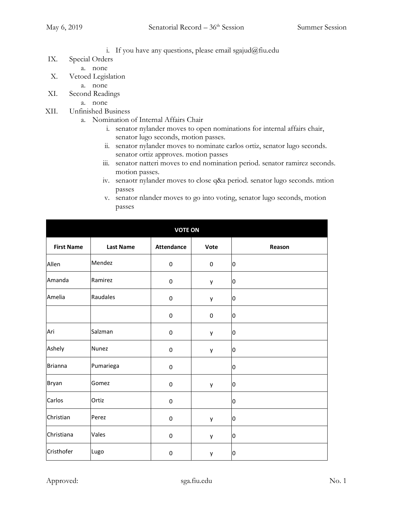- i. If you have any questions, please email sgajud@fiu.edu
- IX. Special Orders
	- a. none
- X. Vetoed Legislation
	- a. none
- XI. Second Readings
	- a. none
- XII. Unfinished Business
	- a. Nomination of Internal Affairs Chair
		- i. senator nylander moves to open nominations for internal affairs chair, senator lugo seconds, motion passes.
		- ii. senator nylander moves to nominate carlos ortiz, senator lugo seconds. senator ortiz approves. motion passes
		- iii. senator natteri moves to end nomination period. senator ramirez seconds. motion passes.
		- iv. senaotr nylander moves to close q&a period. senator lugo seconds. mtion passes
		- v. senator nlander moves to go into voting, senator lugo seconds, motion passes

|                   |                  | <b>VOTE ON</b>    |           |        |
|-------------------|------------------|-------------------|-----------|--------|
| <b>First Name</b> | <b>Last Name</b> | <b>Attendance</b> | Vote      | Reason |
| Allen             | Mendez           | $\pmb{0}$         | 0         | 0      |
| Amanda            | Ramirez          | $\pmb{0}$         | y         | 0      |
| Amelia            | Raudales         | $\pmb{0}$         | y         | 0      |
|                   |                  | 0                 | $\pmb{0}$ | 0      |
| Ari               | Salzman          | $\boldsymbol{0}$  | y         | 0      |
| Ashely            | Nunez            | $\pmb{0}$         | y         | 0      |
| <b>Brianna</b>    | Pumariega        | $\pmb{0}$         |           | 0      |
| Bryan             | Gomez            | $\pmb{0}$         | y         | 0      |
| Carlos            | Ortiz            | $\pmb{0}$         |           | IО     |
| Christian         | Perez            | $\pmb{0}$         | y         | 0      |
| Christiana        | Vales            | $\pmb{0}$         | y         | 0      |
| Cristhofer        | Lugo             | $\pmb{0}$         | у         | 0      |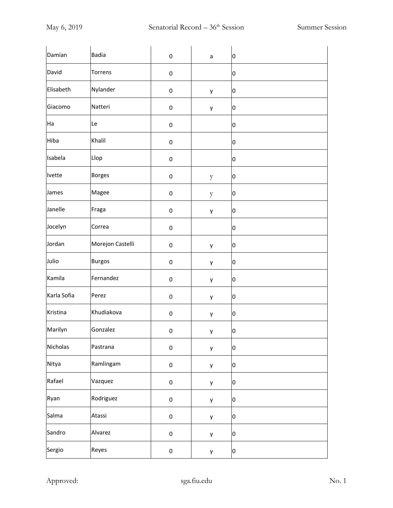| Damian      | <b>Badia</b>     | $\pmb{0}$ | a | 0 |
|-------------|------------------|-----------|---|---|
| David       | Torrens          | $\pmb{0}$ |   | 0 |
| Elisabeth   | Nylander         | $\pmb{0}$ | y | 0 |
| Giacomo     | Natteri          | $\pmb{0}$ | y | 0 |
| Ha          | Le               | $\pmb{0}$ |   | 0 |
| Hiba        | Khalil           | $\pmb{0}$ |   | 0 |
| Isabela     | Llop             | $\pmb{0}$ |   | 0 |
| Ivette      | <b>Borges</b>    | $\pmb{0}$ | y | 0 |
| James       | Magee            | $\pmb{0}$ | y | 0 |
| Janelle     | Fraga            | $\pmb{0}$ | y | 0 |
| Jocelyn     | Correa           | $\pmb{0}$ |   | 0 |
| Jordan      | Morejon Castelli | $\pmb{0}$ | y | 0 |
| Julio       | <b>Burgos</b>    | $\pmb{0}$ | y | 0 |
| Kamila      | Fernandez        | $\pmb{0}$ | y | 0 |
| Karla Sofia | Perez            | $\pmb{0}$ | y | 0 |
| Kristina    | Khudiakova       | $\pmb{0}$ | y | 0 |
| Marilyn     | Gonzalez         | $\pmb{0}$ | y | 0 |
| Nicholas    | Pastrana         | $\pmb{0}$ | y | o |
| Nitya       | Ramlingam        | $\pmb{0}$ | y | 0 |
| Rafael      | Vazquez          | $\pmb{0}$ | y | 0 |
| Ryan        | Rodriguez        | $\pmb{0}$ | y | 0 |
| Salma       | Atassi           | $\pmb{0}$ | y | 0 |
| Sandro      | Alvarez          | $\pmb{0}$ | у | 0 |
| Sergio      | Reyes            | $\pmb{0}$ | y | 0 |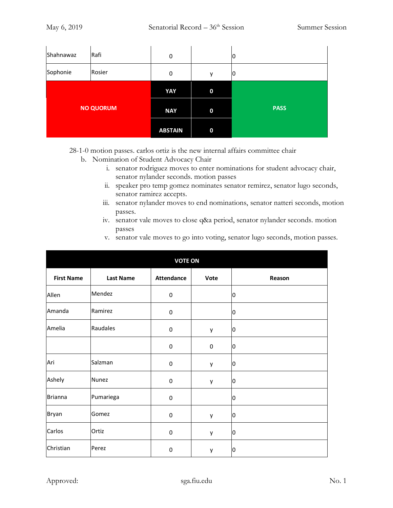| Shahnawaz | Rafi             | 0              |             | 10          |
|-----------|------------------|----------------|-------------|-------------|
| Sophonie  | Rosier           | 0              | у           | 10          |
|           |                  | YAY            | $\mathbf 0$ |             |
|           | <b>NO QUORUM</b> | <b>NAY</b>     | $\bf{0}$    | <b>PASS</b> |
|           |                  | <b>ABSTAIN</b> | $\mathbf 0$ |             |

28-1-0 motion passes. carlos ortiz is the new internal affairs committee chair

- b. Nomination of Student Advocacy Chair
	- i. senator rodriguez moves to enter nominations for student advocacy chair, senator nylander seconds. motion passes
	- ii. speaker pro temp gomez nominates senator remirez, senator lugo seconds, senator ramirez accepts.
	- iii. senator nylander moves to end nominations, senator natteri seconds, motion passes.
	- iv. senator vale moves to close q&a period, senator nylander seconds. motion passes
	- v. senator vale moves to go into voting, senator lugo seconds, motion passes.

|                   |                  | <b>VOTE ON</b>    |      |                |
|-------------------|------------------|-------------------|------|----------------|
| <b>First Name</b> | <b>Last Name</b> | <b>Attendance</b> | Vote | Reason         |
| Allen             | Mendez           | $\pmb{0}$         |      | 0              |
| Amanda            | Ramirez          | $\pmb{0}$         |      | 0              |
| Amelia            | Raudales         | $\pmb{0}$         | у    | $\overline{0}$ |
|                   |                  | $\pmb{0}$         | 0    | $\overline{0}$ |
| Ari               | Salzman          | $\pmb{0}$         | у    | lО             |
| Ashely            | Nunez            | $\pmb{0}$         | у    | Ю              |
| <b>Brianna</b>    | Pumariega        | $\pmb{0}$         |      | 0              |
| Bryan             | Gomez            | $\pmb{0}$         | y    | 10             |
| Carlos            | Ortiz            | $\pmb{0}$         | у    | 10             |
| Christian         | Perez            | $\pmb{0}$         | у    | 10             |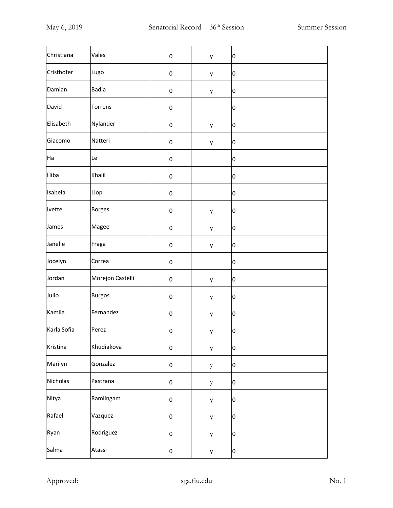| Christiana  | Vales            | $\pmb{0}$ | y            | 0            |
|-------------|------------------|-----------|--------------|--------------|
| Cristhofer  | Lugo             | $\pmb{0}$ | у            | 0            |
| Damian      | <b>Badia</b>     | $\pmb{0}$ | у            | 0            |
| David       | Torrens          | $\pmb{0}$ |              | 0            |
| Elisabeth   | Nylander         | $\pmb{0}$ | y            | 0            |
| Giacomo     | Natteri          | $\pmb{0}$ | y            | 0            |
| Ha          | Le               | $\pmb{0}$ |              | 0            |
| Hiba        | Khalil           | $\pmb{0}$ |              | 0            |
| Isabela     | Llop             | $\pmb{0}$ |              | 0            |
| Ivette      | <b>Borges</b>    | $\pmb{0}$ | у            | 0            |
| James       | Magee            | $\pmb{0}$ | у            | 0            |
| Janelle     | Fraga            | $\pmb{0}$ | у            | 0            |
| Jocelyn     | Correa           | $\pmb{0}$ |              | 0            |
| Jordan      | Morejon Castelli | $\pmb{0}$ | у            | 0            |
| Julio       | <b>Burgos</b>    | $\pmb{0}$ | у            | 0            |
| Kamila      | Fernandez        | $\pmb{0}$ | у            | 0            |
| Karla Sofia | Perez            | $\pmb{0}$ | y            | 0            |
| Kristina    | Khudiakova       | $\pmb{0}$ | у            | 0            |
| Marilyn     | Gonzalez         | $\pmb{0}$ | $\mathbf{y}$ | $\mathbf{0}$ |
| Nicholas    | Pastrana         | $\pmb{0}$ | $\mathbf{y}$ | o            |
| Nitya       | Ramlingam        | $\pmb{0}$ | у            | o            |
| Rafael      | Vazquez          | $\pmb{0}$ | у            | 0            |
| Ryan        | Rodriguez        | $\pmb{0}$ | у            | 0            |
| Salma       | Atassi           | $\pmb{0}$ | у            | 0            |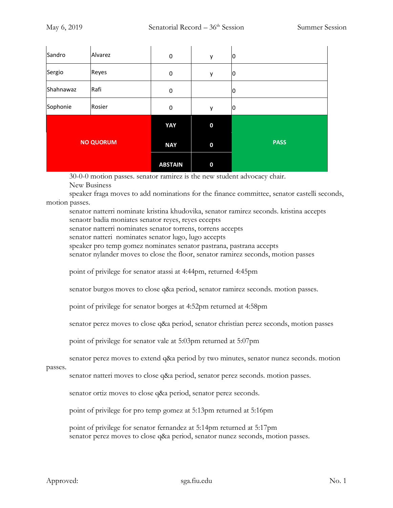| Sandro    | Alvarez          | $\pmb{0}$      | y                | 10          |
|-----------|------------------|----------------|------------------|-------------|
| Sergio    | Reyes            | $\pmb{0}$      | y                | 10          |
| Shahnawaz | Rafi             | 0              |                  | 10          |
| Sophonie  | Rosier           | $\pmb{0}$      | y                | 10          |
|           |                  | YAY            | $\boldsymbol{0}$ |             |
|           | <b>NO QUORUM</b> | <b>NAY</b>     | $\bf{0}$         | <b>PASS</b> |
|           |                  | <b>ABSTAIN</b> | $\bf{0}$         |             |

30-0-0 motion passes. senator ramirez is the new student advocacy chair. New Business

speaker fraga moves to add nominations for the finance committee, senator castelli seconds, motion passes.

senator natterri nominate kristina khudovika, senator ramirez seconds. kristina accepts senaotr badia moniates senator reyes, reyes eccepts

senator natterri nominates senator torrens, torrens accepts

senator natteri nominates senator lugo, lugo accepts

speaker pro temp gomez nominates senator pastrana, pastrana accepts

senator nylander moves to close the floor, senator ramirez seconds, motion passes

point of privilege for senator atassi at 4:44pm, returned 4:45pm

senator burgos moves to close q&a period, senator ramirez seconds. motion passes.

point of privilege for senator borges at 4:52pm returned at 4:58pm

senator perez moves to close q&a period, senator christian perez seconds, motion passes

point of privilege for senator vale at 5:03pm returned at 5:07pm

senator perez moves to extend q&a period by two minutes, senator nunez seconds. motion

passes.

senator natteri moves to close q&a period, senator perez seconds. motion passes.

senator ortiz moves to close q&a period, senator perez seconds.

point of privilege for pro temp gomez at 5:13pm returned at 5:16pm

point of privilege for senator fernandez at 5:14pm returned at 5:17pm senator perez moves to close q&a period, senator nunez seconds, motion passes.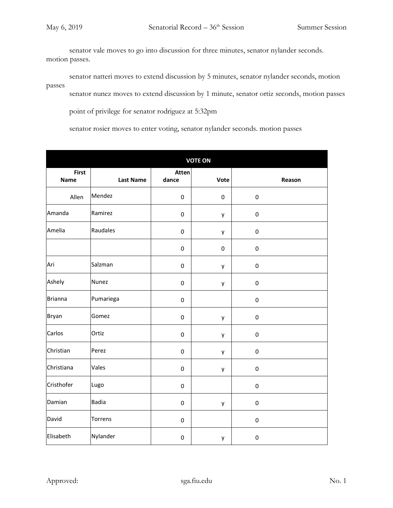senator vale moves to go into discussion for three minutes, senator nylander seconds. motion passes.

senator natteri moves to extend discussion by 5 minutes, senator nylander seconds, motion passes

senator nunez moves to extend discussion by 1 minute, senator ortiz seconds, motion passes

point of privilege for senator rodriguez at 5:32pm

senator rosier moves to enter voting, senator nylander seconds. motion passes

|                             |                  |                | <b>VOTE ON</b> |           |
|-----------------------------|------------------|----------------|----------------|-----------|
| <b>First</b><br><b>Name</b> | <b>Last Name</b> | Atten<br>dance | Vote           | Reason    |
| Allen                       | Mendez           | $\mathsf 0$    | $\pmb{0}$      | $\pmb{0}$ |
| Amanda                      | Ramirez          | 0              | y              | $\pmb{0}$ |
| Amelia                      | Raudales         | 0              | y              | $\pmb{0}$ |
|                             |                  | 0              | $\pmb{0}$      | $\pmb{0}$ |
| Ari                         | Salzman          | 0              | y              | $\pmb{0}$ |
| Ashely                      | <b>Nunez</b>     | $\mathsf 0$    | y              | $\pmb{0}$ |
| <b>Brianna</b>              | Pumariega        | 0              |                | $\pmb{0}$ |
| Bryan                       | Gomez            | 0              | y              | $\pmb{0}$ |
| Carlos                      | Ortiz            | 0              | y              | $\pmb{0}$ |
| Christian                   | Perez            | 0              | y              | $\pmb{0}$ |
| Christiana                  | Vales            | $\mathsf 0$    | у              | $\pmb{0}$ |
| Cristhofer                  | Lugo             | 0              |                | $\pmb{0}$ |
| Damian                      | <b>Badia</b>     | 0              | у              | $\pmb{0}$ |
| David                       | Torrens          | $\mathsf 0$    |                | $\pmb{0}$ |
| Elisabeth                   | Nylander         | $\mathsf 0$    | y              | $\pmb{0}$ |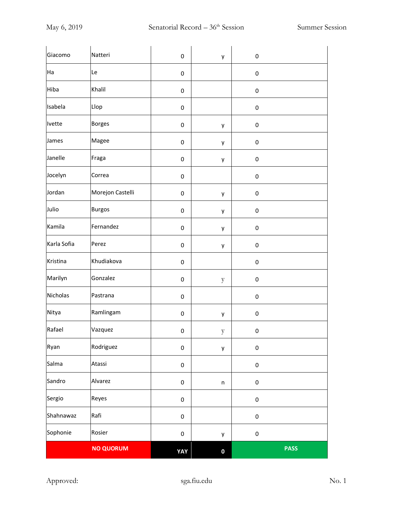| Giacomo     | Natteri          | $\pmb{0}$  | y            | $\pmb{0}$ |             |
|-------------|------------------|------------|--------------|-----------|-------------|
| Ha          | Le               | $\pmb{0}$  |              | $\pmb{0}$ |             |
| Hiba        | Khalil           | 0          |              | $\pmb{0}$ |             |
| Isabela     | Llop             | $\pmb{0}$  |              | $\pmb{0}$ |             |
| Ivette      | <b>Borges</b>    | $\pmb{0}$  | y            | $\pmb{0}$ |             |
| James       | Magee            | $\pmb{0}$  | y            | $\pmb{0}$ |             |
| Janelle     | Fraga            | $\pmb{0}$  | y            | 0         |             |
| Jocelyn     | Correa           | 0          |              | $\pmb{0}$ |             |
| Jordan      | Morejon Castelli | $\pmb{0}$  | y            | $\pmb{0}$ |             |
| Julio       | <b>Burgos</b>    | 0          | y            | $\pmb{0}$ |             |
| Kamila      | Fernandez        | 0          | y            | $\pmb{0}$ |             |
| Karla Sofia | Perez            | 0          | y            | $\pmb{0}$ |             |
| Kristina    | Khudiakova       | 0          |              | $\pmb{0}$ |             |
| Marilyn     | Gonzalez         | 0          | $\mathbf{y}$ | $\pmb{0}$ |             |
| Nicholas    | Pastrana         | $\pmb{0}$  |              | $\pmb{0}$ |             |
| Nitya       | Ramlingam        | 0          | y            | $\pmb{0}$ |             |
| Rafael      | Vazquez          | 0          | $\mathbf{y}$ | $\pmb{0}$ |             |
| Ryan        | Rodriguez        | $\pmb{0}$  | y            | $\pmb{0}$ |             |
| Salma       | Atassi           | $\pmb{0}$  |              | $\pmb{0}$ |             |
| Sandro      | Alvarez          | $\pmb{0}$  | $\sf n$      | $\pmb{0}$ |             |
| Sergio      | Reyes            | $\pmb{0}$  |              | $\pmb{0}$ |             |
| Shahnawaz   | Rafi             | $\pmb{0}$  |              | $\pmb{0}$ |             |
| Sophonie    | Rosier           | $\pmb{0}$  | у            | $\pmb{0}$ |             |
|             | <b>NO QUORUM</b> | <b>YAY</b> | $\pmb{0}$    |           | <b>PASS</b> |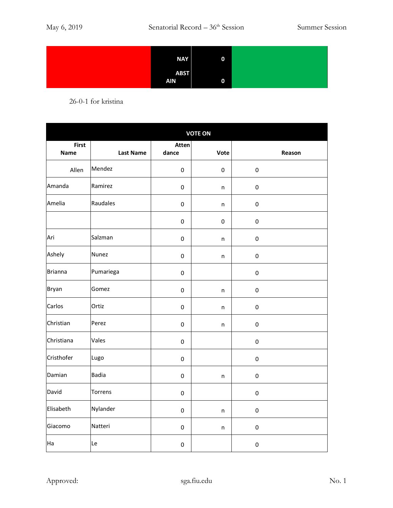| <b>NAY</b>                | $\mathbf 0$ |
|---------------------------|-------------|
| <b>ABST</b><br><b>AIN</b> | 0           |

26-0-1 for kristina

| <b>VOTE ON</b>       |                  |                     |           |           |        |
|----------------------|------------------|---------------------|-----------|-----------|--------|
| <b>First</b><br>Name | <b>Last Name</b> | Atten<br>dance      | Vote      |           | Reason |
| Allen                | Mendez           | $\mathbf 0$         | $\pmb{0}$ | $\pmb{0}$ |        |
| Amanda               | Ramirez          | $\pmb{0}$           | n         | $\pmb{0}$ |        |
| Amelia               | Raudales         | $\pmb{0}$           | n         | $\pmb{0}$ |        |
|                      |                  | $\pmb{0}$           | $\pmb{0}$ | $\pmb{0}$ |        |
| Ari                  | Salzman          | $\mathbf 0$         | n         | $\pmb{0}$ |        |
| Ashely               | Nunez            | $\mathbf 0$         | n         | $\pmb{0}$ |        |
| <b>Brianna</b>       | Pumariega        | $\pmb{0}$           |           | $\pmb{0}$ |        |
| <b>Bryan</b>         | Gomez            | $\mathbf 0$         | $\sf n$   | $\pmb{0}$ |        |
| Carlos               | Ortiz            | $\mathbf 0$         | n         | $\pmb{0}$ |        |
| Christian            | Perez            | $\pmb{0}$           | n         | $\pmb{0}$ |        |
| Christiana           | Vales            | $\mathbf 0$         |           | $\pmb{0}$ |        |
| Cristhofer           | Lugo             | $\mathbf 0$         |           | $\pmb{0}$ |        |
| Damian               | Badia            | $\pmb{0}$           | n         | $\pmb{0}$ |        |
| David                | Torrens          | $\mathbf 0$         |           | $\pmb{0}$ |        |
| Elisabeth            | Nylander         | $\mathbf 0$         | $\sf n$   | $\pmb{0}$ |        |
| Giacomo              | Natteri          | $\pmb{0}$           | n         | $\pmb{0}$ |        |
| Ha                   | Le               | $\mathsf{O}\xspace$ |           | $\pmb{0}$ |        |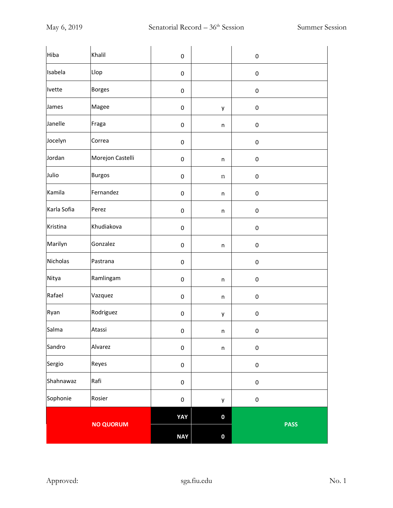| Hiba        | Khalil           | $\pmb{0}$  |             | $\pmb{0}$   |  |
|-------------|------------------|------------|-------------|-------------|--|
| Isabela     | Llop             | $\pmb{0}$  |             | $\pmb{0}$   |  |
| Ivette      | <b>Borges</b>    | 0          |             | $\pmb{0}$   |  |
| James       | Magee            | $\pmb{0}$  | y           | $\pmb{0}$   |  |
| Janelle     | Fraga            | 0          | n           | $\pmb{0}$   |  |
| Jocelyn     | Correa           | $\pmb{0}$  |             | $\pmb{0}$   |  |
| Jordan      | Morejon Castelli | $\pmb{0}$  | n           | 0           |  |
| Julio       | <b>Burgos</b>    | $\pmb{0}$  | n           | $\pmb{0}$   |  |
| Kamila      | Fernandez        | $\pmb{0}$  | n           | $\pmb{0}$   |  |
| Karla Sofia | Perez            | 0          | n           | $\pmb{0}$   |  |
| Kristina    | Khudiakova       | 0          |             | $\pmb{0}$   |  |
| Marilyn     | Gonzalez         | 0          | n           | $\pmb{0}$   |  |
| Nicholas    | Pastrana         | $\pmb{0}$  |             | $\pmb{0}$   |  |
| Nitya       | Ramlingam        | 0          | n           | $\pmb{0}$   |  |
| Rafael      | Vazquez          | $\pmb{0}$  | n           | $\pmb{0}$   |  |
| Ryan        | Rodriguez        | 0          | y           | $\pmb{0}$   |  |
| Salma       | Atassi           | 0          | n           | $\pmb{0}$   |  |
| Sandro      | Alvarez          | $\pmb{0}$  | $\mathsf n$ | $\pmb{0}$   |  |
| Sergio      | Reyes            | $\pmb{0}$  |             | $\pmb{0}$   |  |
| Shahnawaz   | Rafi             | $\pmb{0}$  |             | $\pmb{0}$   |  |
| Sophonie    | Rosier           | $\pmb{0}$  | y           | $\pmb{0}$   |  |
|             |                  | YAY        | $\bf{0}$    |             |  |
|             | <b>NO QUORUM</b> | <b>NAY</b> | $\bf{0}$    | <b>PASS</b> |  |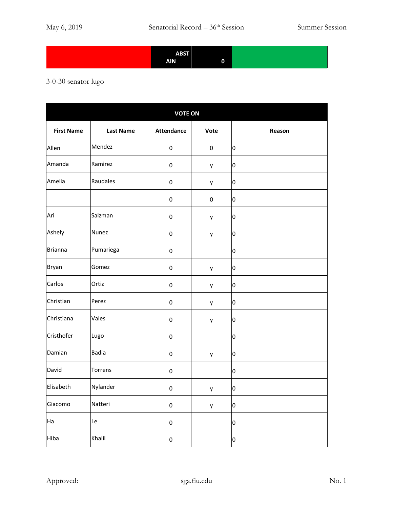| <b>ABST</b> |   |  |
|-------------|---|--|
| <b>AIN</b>  | 0 |  |

## 3-0-30 senator lugo

| <b>VOTE ON</b>    |                  |                   |      |                         |  |
|-------------------|------------------|-------------------|------|-------------------------|--|
| <b>First Name</b> | <b>Last Name</b> | <b>Attendance</b> | Vote | Reason                  |  |
| Allen             | Mendez           | $\pmb{0}$         | 0    | 0                       |  |
| Amanda            | Ramirez          | $\pmb{0}$         | у    | 0                       |  |
| Amelia            | Raudales         | $\pmb{0}$         | у    | O                       |  |
|                   |                  | $\pmb{0}$         | 0    | 0                       |  |
| Ari               | Salzman          | $\pmb{0}$         | у    | 0                       |  |
| Ashely            | Nunez            | $\pmb{0}$         | у    | 0                       |  |
| <b>Brianna</b>    | Pumariega        | $\pmb{0}$         |      | 0                       |  |
| Bryan             | Gomez            | $\pmb{0}$         | у    | 0                       |  |
| Carlos            | Ortiz            | $\pmb{0}$         | у    | 0                       |  |
| Christian         | Perez            | $\pmb{0}$         | у    | 0                       |  |
| Christiana        | Vales            | $\pmb{0}$         | у    | $\overline{0}$          |  |
| Cristhofer        | Lugo             | $\pmb{0}$         |      | 0                       |  |
| Damian            | Badia            | $\pmb{0}$         | у    | 0                       |  |
| David             | Torrens          | $\pmb{0}$         |      | 0                       |  |
| Elisabeth         | Nylander         | $\pmb{0}$         | y    | $\overline{0}$          |  |
| Giacomo           | Natteri          | $\pmb{0}$         | у    | $\overline{\mathbf{0}}$ |  |
| Ha                | Le               | $\pmb{0}$         |      | o                       |  |
| Hiba              | Khalil           | $\pmb{0}$         |      | $\overline{\mathbf{0}}$ |  |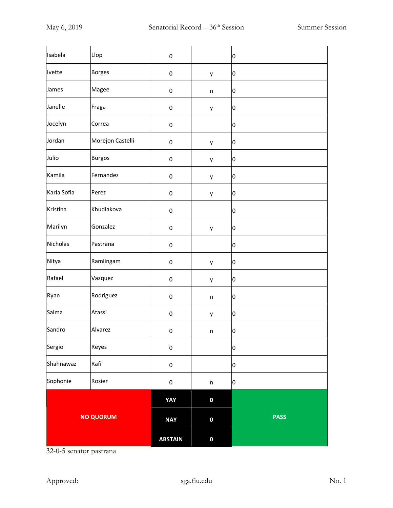| Isabela          | Llop             | $\pmb{0}$      |                  | 0           |
|------------------|------------------|----------------|------------------|-------------|
| Ivette           | <b>Borges</b>    | $\pmb{0}$      | y                | 0           |
| James            | Magee            | $\pmb{0}$      | n                | 0           |
| Janelle          | Fraga            | $\pmb{0}$      | y                | 0           |
| Jocelyn          | Correa           | $\pmb{0}$      |                  | 0           |
| Jordan           | Morejon Castelli | $\pmb{0}$      | y                | 0           |
| Julio            | <b>Burgos</b>    | $\pmb{0}$      | y                | 0           |
| Kamila           | Fernandez        | $\pmb{0}$      | y                | 0           |
| Karla Sofia      | Perez            | $\pmb{0}$      | y                | 0           |
| Kristina         | Khudiakova       | $\pmb{0}$      |                  | 0           |
| Marilyn          | Gonzalez         | $\pmb{0}$      | y                | 0           |
| Nicholas         | Pastrana         | $\pmb{0}$      |                  | 0           |
| Nitya            | Ramlingam        | $\pmb{0}$      | y                | 0           |
| Rafael           | Vazquez          | $\pmb{0}$      | y                | 0           |
| Ryan             | Rodriguez        | $\pmb{0}$      | n                | 0           |
| Salma            | Atassi           | $\pmb{0}$      | y                | 0           |
| Sandro           | Alvarez          | $\pmb{0}$      | n                | 0           |
| Sergio           | Reyes            | $\pmb{0}$      |                  | 0           |
| Shahnawaz        | Rafi             | $\pmb{0}$      |                  | 0           |
| Sophonie         | Rosier           | $\pmb{0}$      | n                | 0           |
|                  |                  | YAY            | $\pmb{0}$        |             |
| <b>NO QUORUM</b> |                  | <b>NAY</b>     | $\pmb{0}$        | <b>PASS</b> |
|                  |                  | <b>ABSTAIN</b> | $\boldsymbol{0}$ |             |

32-0-5 senator pastrana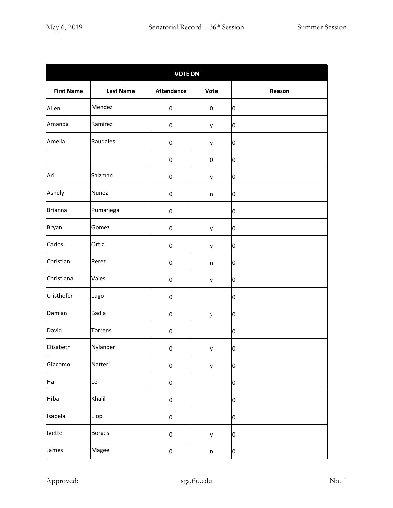|                   | <b>VOTE ON</b>   |                   |              |                  |  |  |  |
|-------------------|------------------|-------------------|--------------|------------------|--|--|--|
| <b>First Name</b> | <b>Last Name</b> | <b>Attendance</b> | Vote         | Reason           |  |  |  |
| Allen             | Mendez           | 0                 | 0            | lо               |  |  |  |
| Amanda            | Ramirez          | 0                 | у            | 0                |  |  |  |
| Amelia            | Raudales         | 0                 | y            | $\overline{0}$   |  |  |  |
|                   |                  | 0                 | 0            | 0                |  |  |  |
| Ari               | Salzman          | 0                 | у            | 0                |  |  |  |
| Ashely            | Nunez            | 0                 | n            | 0                |  |  |  |
| <b>Brianna</b>    | Pumariega        | 0                 |              | 0                |  |  |  |
| Bryan             | Gomez            | 0                 | y            | O                |  |  |  |
| Carlos            | Ortiz            | 0                 | у            | 10               |  |  |  |
| Christian         | Perez            | 0                 | $\mathsf{n}$ | 0                |  |  |  |
| Christiana        | Vales            | 0                 | у            | 0                |  |  |  |
| Cristhofer        | Lugo             | 0                 |              | 0                |  |  |  |
| Damian            | <b>Badia</b>     | 0                 | y            | 10               |  |  |  |
| David             | Torrens          | 0                 |              | 0                |  |  |  |
| Elisabeth         | Nylander         | 0                 | y            | $\boldsymbol{0}$ |  |  |  |
| Giacomo           | Natteri          | 0                 | y            | 0                |  |  |  |
| Ha                | Le               | $\pmb{0}$         |              | 0                |  |  |  |
| Hiba              | Khalil           | $\pmb{0}$         |              | 0                |  |  |  |
| Isabela           | Llop             | 0                 |              | o                |  |  |  |
| Ivette            | <b>Borges</b>    | $\pmb{0}$         | y            | 0                |  |  |  |
| James             | Magee            | $\pmb{0}$         | $\sf n$      | o                |  |  |  |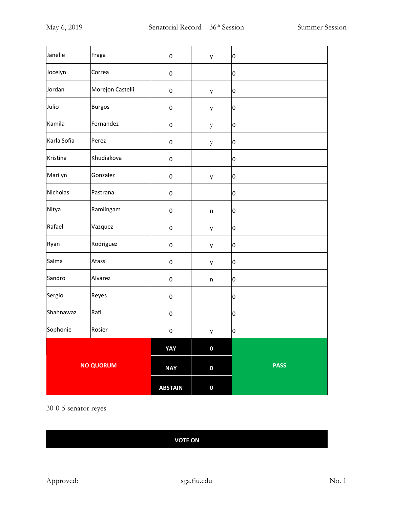| Janelle          | Fraga            | 0                   | y            | O           |
|------------------|------------------|---------------------|--------------|-------------|
| Jocelyn          | Correa           | 0                   |              | 0           |
| Jordan           | Morejon Castelli | 0                   | y            | O           |
| Julio            | <b>Burgos</b>    | 0                   | y            | 0           |
| Kamila           | Fernandez        | $\mathsf{O}\xspace$ | $\mathbf{y}$ | 0           |
| Karla Sofia      | Perez            | $\mathsf{O}\xspace$ | $\mathbf{y}$ | 0           |
| Kristina         | Khudiakova       | 0                   |              | 0           |
| Marilyn          | Gonzalez         | 0                   | y            | 0           |
| Nicholas         | Pastrana         | 0                   |              | 0           |
| Nitya            | Ramlingam        | 0                   | $\mathsf{n}$ | O           |
| Rafael           | Vazquez          | 0                   | y            | 0           |
| Ryan             | Rodriguez        | 0                   | y            | 0           |
| Salma            | Atassi           | 0                   | y            | 0           |
| Sandro           | Alvarez          | 0                   | $\sf n$      | O           |
| Sergio           | Reyes            | $\mathsf 0$         |              | 0           |
| Shahnawaz        | Rafi             | $\mathsf{O}\xspace$ |              | O           |
| Sophonie         | Rosier           | 0                   | y            | Ю           |
|                  |                  | YAY                 | $\pmb{0}$    |             |
| <b>NO QUORUM</b> |                  | <b>NAY</b>          | $\pmb{0}$    | <b>PASS</b> |
|                  |                  | <b>ABSTAIN</b>      | $\pmb{0}$    |             |

30-0-5 senator reyes

## **VOTE ON**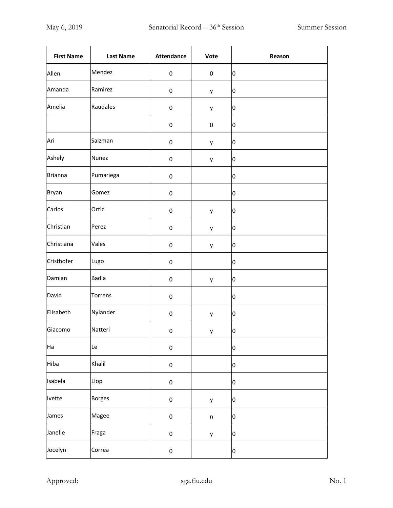| <b>First Name</b> | <b>Last Name</b> | <b>Attendance</b> | Vote      | Reason                  |
|-------------------|------------------|-------------------|-----------|-------------------------|
| Allen             | Mendez           | $\pmb{0}$         | $\pmb{0}$ | 0                       |
| Amanda            | Ramirez          | 0                 | y         | 0                       |
| Amelia            | Raudales         | 0                 | y         | 0                       |
|                   |                  | $\pmb{0}$         | $\pmb{0}$ | 0                       |
| Ari               | Salzman          | $\pmb{0}$         | y         | 0                       |
| Ashely            | Nunez            | 0                 | y         | 0                       |
| Brianna           | Pumariega        | 0                 |           | 0                       |
| <b>Bryan</b>      | Gomez            | $\pmb{0}$         |           | 0                       |
| Carlos            | Ortiz            | $\pmb{0}$         | y         | 0                       |
| Christian         | Perez            | 0                 | y         | Ю                       |
| Christiana        | Vales            | $\pmb{0}$         | y         | 0                       |
| Cristhofer        | Lugo             | $\pmb{0}$         |           | 0                       |
| Damian            | <b>Badia</b>     | $\pmb{0}$         | у         | 0                       |
| David             | Torrens          | $\pmb{0}$         |           | 0                       |
| Elisabeth         | Nylander         | 0                 | y         | 0                       |
| Giacomo           | Natteri          | 0                 | у         | $\overline{\mathbf{0}}$ |
| Ha                | Le               | $\pmb{0}$         |           | 0                       |
| Hiba              | Khalil           | $\pmb{0}$         |           | 0                       |
| Isabela           | Llop             | $\pmb{0}$         |           | 0                       |
| Ivette            | <b>Borges</b>    | $\pmb{0}$         | у         | 0                       |
| James             | Magee            | $\pmb{0}$         | $\sf n$   | 0                       |
| Janelle           | Fraga            | $\pmb{0}$         | у         | 0                       |
| Jocelyn           | Correa           | $\pmb{0}$         |           | 0                       |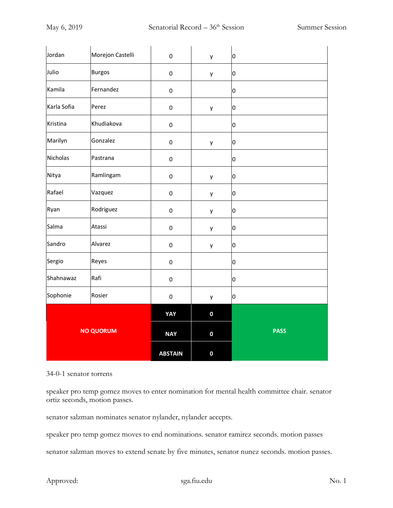| Jordan           | Morejon Castelli | $\mathbf 0$    | y           | 0           |
|------------------|------------------|----------------|-------------|-------------|
| Julio            | <b>Burgos</b>    | $\pmb{0}$      | у           | 0           |
| Kamila           | Fernandez        | $\pmb{0}$      |             | O           |
| Karla Sofia      | Perez            | $\pmb{0}$      | y           | 0           |
| Kristina         | Khudiakova       | $\pmb{0}$      |             | 0           |
| Marilyn          | Gonzalez         | $\pmb{0}$      | у           | O           |
| Nicholas         | Pastrana         | $\pmb{0}$      |             | 0           |
| Nitya            | Ramlingam        | $\mathbf 0$    | у           | 0           |
| Rafael           | Vazquez          | $\pmb{0}$      | у           | 0           |
| Ryan             | Rodriguez        | $\pmb{0}$      | у           | 0           |
| Salma            | Atassi           | $\pmb{0}$      | у           | o           |
| Sandro           | Alvarez          | $\pmb{0}$      | у           | 0           |
| Sergio           | Reyes            | $\pmb{0}$      |             | 0           |
| Shahnawaz        | Rafi             | $\pmb{0}$      |             | O           |
| Sophonie         | Rosier           | $\pmb{0}$      | у           | 0           |
|                  |                  | YAY            | $\mathbf 0$ |             |
| <b>NO QUORUM</b> |                  | <b>NAY</b>     | $\bf{0}$    | <b>PASS</b> |
|                  |                  | <b>ABSTAIN</b> | $\mathbf 0$ |             |

## 34-0-1 senator torrens

speaker pro temp gomez moves to enter nomination for mental health committee chair. senator ortiz seconds, motion passes.

senator salzman nominates senator nylander, nylander accepts.

speaker pro temp gomez moves to end nominations. senator ramirez seconds. motion passes

senator salzman moves to extend senate by five minutes, senator nunez seconds. motion passes.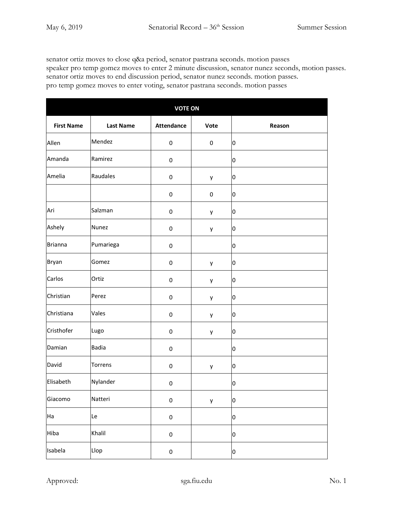senator ortiz moves to close q&a period, senator pastrana seconds. motion passes speaker pro temp gomez moves to enter 2 minute discussion, senator nunez seconds, motion passes. senator ortiz moves to end discussion period, senator nunez seconds. motion passes. pro temp gomez moves to enter voting, senator pastrana seconds. motion passes

| <b>VOTE ON</b>    |                  |                   |           |              |  |  |
|-------------------|------------------|-------------------|-----------|--------------|--|--|
| <b>First Name</b> | <b>Last Name</b> | <b>Attendance</b> | Vote      | Reason       |  |  |
| Allen             | Mendez           | $\pmb{0}$         | 0         | 0            |  |  |
| Amanda            | Ramirez          | 0                 |           | 0            |  |  |
| Amelia            | Raudales         | $\pmb{0}$         | у         | 0            |  |  |
|                   |                  | $\pmb{0}$         | $\pmb{0}$ | O            |  |  |
| Ari               | Salzman          | $\pmb{0}$         | у         | 0            |  |  |
| Ashely            | Nunez            | $\pmb{0}$         | у         | 0            |  |  |
| <b>Brianna</b>    | Pumariega        | $\pmb{0}$         |           | O            |  |  |
| Bryan             | Gomez            | $\pmb{0}$         | у         | 0            |  |  |
| Carlos            | Ortiz            | $\pmb{0}$         | у         | 0            |  |  |
| Christian         | Perez            | $\pmb{0}$         | у         | 0            |  |  |
| Christiana        | Vales            | $\pmb{0}$         | у         | o            |  |  |
| Cristhofer        | Lugo             | $\pmb{0}$         | у         | 0            |  |  |
| Damian            | <b>Badia</b>     | $\pmb{0}$         |           | 0            |  |  |
| David             | Torrens          | 0                 | у         | 0            |  |  |
| Elisabeth         | Nylander         | 0                 |           | 0            |  |  |
| Giacomo           | Natteri          | $\pmb{0}$         | у         | 0            |  |  |
| Ha                | Le               | $\pmb{0}$         |           | $\mathbf{0}$ |  |  |
| Hiba              | Khalil           | $\mathbf 0$       |           | $\mathbf{0}$ |  |  |
| Isabela           | Llop             | $\pmb{0}$         |           | 0            |  |  |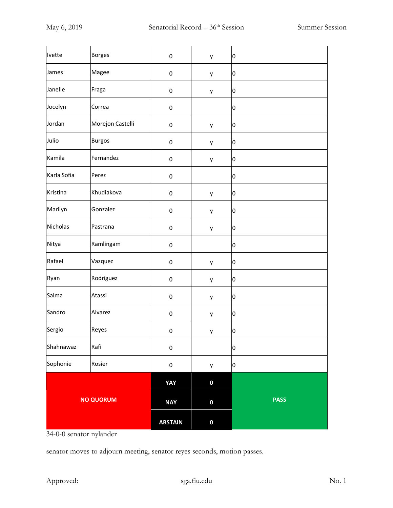| Ivette           | <b>Borges</b>    | $\pmb{0}$      | у           | 0           |
|------------------|------------------|----------------|-------------|-------------|
| James            | Magee            | $\pmb{0}$      | у           | 0           |
| Janelle          | Fraga            | $\pmb{0}$      | у           | 0           |
| Jocelyn          | Correa           | $\pmb{0}$      |             | 0           |
| Jordan           | Morejon Castelli | $\pmb{0}$      | у           | 0           |
| Julio            | <b>Burgos</b>    | $\pmb{0}$      | у           | 0           |
| Kamila           | Fernandez        | $\pmb{0}$      | у           | 0           |
| Karla Sofia      | Perez            | $\pmb{0}$      |             | 0           |
| Kristina         | Khudiakova       | $\pmb{0}$      | у           | 0           |
| Marilyn          | Gonzalez         | $\pmb{0}$      | y           | 0           |
| Nicholas         | Pastrana         | $\pmb{0}$      | у           | 0           |
| Nitya            | Ramlingam        | $\pmb{0}$      |             | 0           |
| Rafael           | Vazquez          | $\pmb{0}$      | у           | 0           |
| Ryan             | Rodriguez        | $\pmb{0}$      | у           | 0           |
| Salma            | Atassi           | $\pmb{0}$      | у           | 0           |
| Sandro           | Alvarez          | $\pmb{0}$      | у           | 0           |
| Sergio           | Reyes            | $\pmb{0}$      | y           | 0           |
| Shahnawaz        | Rafi             | $\pmb{0}$      |             | 0           |
| Sophonie         | Rosier           | $\pmb{0}$      | у           | 0           |
|                  |                  | <b>YAY</b>     | $\bf{0}$    |             |
| <b>NO QUORUM</b> |                  | <b>NAY</b>     | $\mathbf 0$ | <b>PASS</b> |
|                  |                  | <b>ABSTAIN</b> | $\bf{0}$    |             |

34-0-0 senator nylander

senator moves to adjourn meeting, senator reyes seconds, motion passes.